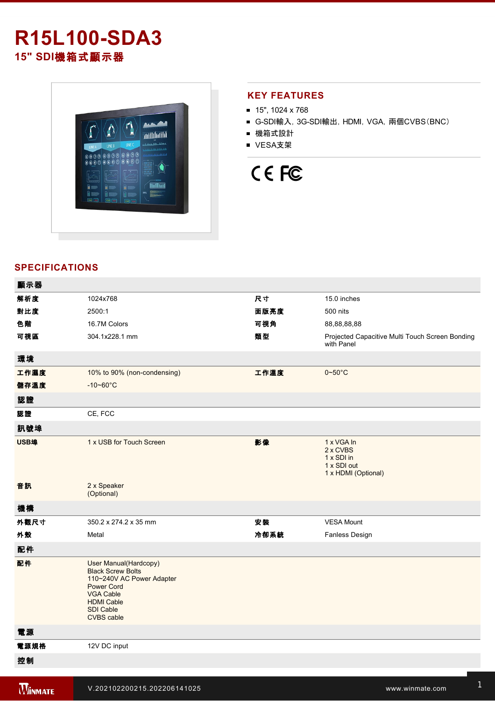# **R15L100-SDA3 15" SDI**機箱式顯示器



## **KEY FEATURES**

- $\blacksquare$  15", 1024 x 768
- G-SDI輸入, 3G-SDI輸出, HDMI, VGA, 兩個CVBS(BNC)
- 機箱式設計
- VESA支架

# CE FC

## **SPECIFICATIONS**

| 顯示器  |                                                                                                                                                                                |      |                                                                            |
|------|--------------------------------------------------------------------------------------------------------------------------------------------------------------------------------|------|----------------------------------------------------------------------------|
| 解析度  | 1024x768                                                                                                                                                                       | 尺寸   | 15.0 inches                                                                |
| 對比度  | 2500:1                                                                                                                                                                         | 面版亮度 | 500 nits                                                                   |
| 色階   | 16.7M Colors                                                                                                                                                                   | 可視角  | 88,88,88,88                                                                |
| 可視區  | 304.1x228.1 mm                                                                                                                                                                 | 類型   | Projected Capacitive Multi Touch Screen Bonding<br>with Panel              |
| 環境   |                                                                                                                                                                                |      |                                                                            |
| 工作濕度 | 10% to 90% (non-condensing)                                                                                                                                                    | 工作溫度 | $0 - 50^{\circ}$ C                                                         |
| 儲存溫度 | $-10 - 60^{\circ}C$                                                                                                                                                            |      |                                                                            |
| 認證   |                                                                                                                                                                                |      |                                                                            |
| 認證   | CE, FCC                                                                                                                                                                        |      |                                                                            |
| 訊號埠  |                                                                                                                                                                                |      |                                                                            |
| USB埠 | 1 x USB for Touch Screen                                                                                                                                                       | 影像   | 1 x VGA In<br>2 x CVBS<br>1 x SDI in<br>1 x SDI out<br>1 x HDMI (Optional) |
| 音訊   | 2 x Speaker<br>(Optional)                                                                                                                                                      |      |                                                                            |
| 機構   |                                                                                                                                                                                |      |                                                                            |
| 外觀尺寸 | 350.2 x 274.2 x 35 mm                                                                                                                                                          | 安装   | <b>VESA Mount</b>                                                          |
| 外殼   | Metal                                                                                                                                                                          | 冷卻系統 | Fanless Design                                                             |
| 配件   |                                                                                                                                                                                |      |                                                                            |
| 配件   | User Manual(Hardcopy)<br><b>Black Screw Bolts</b><br>110~240V AC Power Adapter<br><b>Power Cord</b><br><b>VGA Cable</b><br><b>HDMI Cable</b><br><b>SDI Cable</b><br>CVBS cable |      |                                                                            |
| 電源   |                                                                                                                                                                                |      |                                                                            |
| 電源規格 | 12V DC input                                                                                                                                                                   |      |                                                                            |
| 控制   |                                                                                                                                                                                |      |                                                                            |
|      |                                                                                                                                                                                |      |                                                                            |

Down